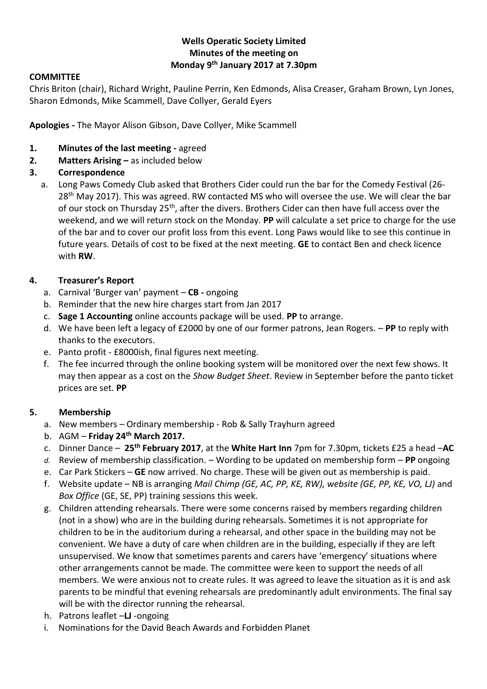# **Wells Operatic Society Limited Minutes of the meeting on Monday 9 th January 2017 at 7.30pm**

### **COMMITTEE**

Chris Briton (chair), Richard Wright, Pauline Perrin, Ken Edmonds, Alisa Creaser, Graham Brown, Lyn Jones, Sharon Edmonds, Mike Scammell, Dave Collyer, Gerald Eyers

**Apologies -** The Mayor Alison Gibson, Dave Collyer, Mike Scammell

- **1. Minutes of the last meeting -** agreed
- **2. Matters Arising –** as included below

### **3. Correspondence**

a. Long Paws Comedy Club asked that Brothers Cider could run the bar for the Comedy Festival (26- 28<sup>th</sup> May 2017). This was agreed. RW contacted MS who will oversee the use. We will clear the bar of our stock on Thursday 25<sup>th</sup>, after the divers. Brothers Cider can then have full access over the weekend, and we will return stock on the Monday. **PP** will calculate a set price to charge for the use of the bar and to cover our profit loss from this event. Long Paws would like to see this continue in future years. Details of cost to be fixed at the next meeting. **GE** to contact Ben and check licence with **RW**.

#### **4. Treasurer's Report**

- a. Carnival 'Burger van' payment **CB -** ongoing
- b. Reminder that the new hire charges start from Jan 2017
- c. **Sage 1 Accounting** online accounts package will be used. **PP** to arrange.
- d. We have been left a legacy of £2000 by one of our former patrons, Jean Rogers. **PP** to reply with thanks to the executors.
- e. Panto profit £8000ish, final figures next meeting.
- f. The fee incurred through the online booking system will be monitored over the next few shows. It may then appear as a cost on the *Show Budget Sheet*. Review in September before the panto ticket prices are set. **PP**

### **5. Membership**

- a. New members Ordinary membership Rob & Sally Trayhurn agreed
- b. AGM **Friday 24th March 2017.**
- c. Dinner Dance **25th February 2017**, at the **White Hart Inn** 7pm for 7.30pm, tickets £25 a head –**AC**
- *d.* Review of membership classification. Wording to be updated on membership form **PP** ongoing
- e. Car Park Stickers **GE** now arrived. No charge. These will be given out as membership is paid.
- f. Website update NB is arranging *Mail Chimp (GE, AC, PP, KE, RW), website (GE, PP, KE, VO, LJ)* and *Box Office* (GE, SE, PP) training sessions this week.
- g. Children attending rehearsals. There were some concerns raised by members regarding children (not in a show) who are in the building during rehearsals. Sometimes it is not appropriate for children to be in the auditorium during a rehearsal, and other space in the building may not be convenient. We have a duty of care when children are in the building, especially if they are left unsupervised. We know that sometimes parents and carers have 'emergency' situations where other arrangements cannot be made. The committee were keen to support the needs of all members. We were anxious not to create rules. It was agreed to leave the situation as it is and ask parents to be mindful that evening rehearsals are predominantly adult environments. The final say will be with the director running the rehearsal.
- h. Patrons leaflet –**LJ** -ongoing
- i. Nominations for the David Beach Awards and Forbidden Planet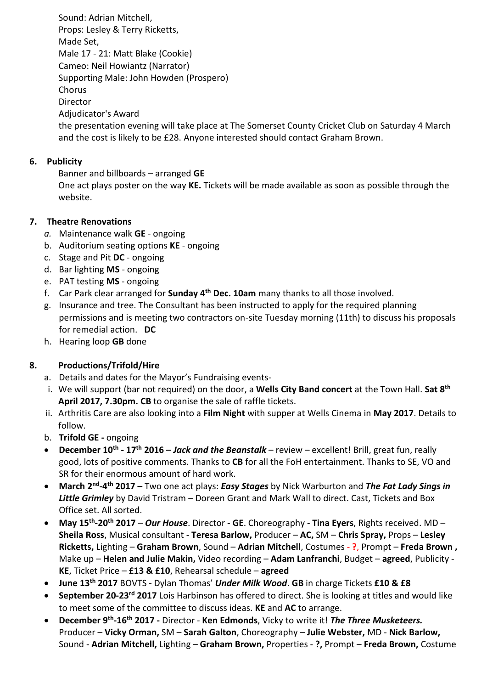Sound: Adrian Mitchell, Props: Lesley & Terry Ricketts, Made Set, Male 17 - 21: Matt Blake (Cookie) Cameo: Neil Howiantz (Narrator) Supporting Male: John Howden (Prospero) Chorus Director Adjudicator's Award the presentation evening will take place at The Somerset County Cricket Club on Saturday 4 March and the cost is likely to be £28. Anyone interested should contact Graham Brown.

### **6. Publicity**

Banner and billboards – arranged **GE** One act plays poster on the way **KE.** Tickets will be made available as soon as possible through the website.

# **7. Theatre Renovations**

- *a.* Maintenance walk **GE** ongoing
- b. Auditorium seating options **KE** ongoing
- c. Stage and Pit **DC** ongoing
- d. Bar lighting **MS** ongoing
- e. PAT testing **MS** ongoing
- f. Car Park clear arranged for **Sunday 4th Dec. 10am** many thanks to all those involved.
- g. Insurance and tree. The Consultant has been instructed to apply for the required planning permissions and is meeting two contractors on-site Tuesday morning (11th) to discuss his proposals for remedial action. **DC**
- h. Hearing loop **GB** done

# **8. Productions/Trifold/Hire**

- a. Details and dates for the Mayor's Fundraising events-
- i. We will support (bar not required) on the door, a **Wells City Band concert** at the Town Hall. **Sat 8th April 2017, 7.30pm. CB** to organise the sale of raffle tickets.
- ii. Arthritis Care are also looking into a **Film Night** with supper at Wells Cinema in **May 2017**. Details to follow.
- b. **Trifold GE -** ongoing
- **December 10th - 17th 2016 –** *Jack and the Beanstalk* review excellent! Brill, great fun, really good, lots of positive comments. Thanks to **CB** for all the FoH entertainment. Thanks to SE, VO and SR for their enormous amount of hard work.
- **March 2<sup>nd</sup>-4<sup>th</sup> 2017 –** Two one act plays: *Easy Stages* by Nick Warburton and *The Fat Lady Sings in Little Grimley* by David Tristram – Doreen Grant and Mark Wall to direct. Cast, Tickets and Box Office set. All sorted.
- **May 15th -20th 2017**  *Our House*. Director **GE**. Choreography **Tina Eyers**, Rights received. MD **Sheila Ross**, Musical consultant - **Teresa Barlow,** Producer – **AC,** SM – **Chris Spray,** Props – **Lesley Ricketts,** Lighting – **Graham Brown**, Sound – **Adrian Mitchell**, Costumes - **?**, Prompt – **Freda Brown ,**  Make up – **Helen and Julie Makin,** Video recording – **Adam Lanfranchi**, Budget – **agreed**, Publicity - **KE**, Ticket Price – **£13 & £10**, Rehearsal schedule – **agreed**
- **June 13th 2017** BOVTS Dylan Thomas' *Under Milk Wood*. **GB** in charge Tickets **£10 & £8**
- **September 20-23rd 2017** Lois Harbinson has offered to direct. She is looking at titles and would like to meet some of the committee to discuss ideas. **KE** and **AC** to arrange.
- **December 9th -16th 2017 -** Director **Ken Edmonds**, Vicky to write it! *The Three Musketeers.* Producer – **Vicky Orman,** SM – **Sarah Galton**, Choreography – **Julie Webster,** MD - **Nick Barlow,**  Sound - **Adrian Mitchell,** Lighting – **Graham Brown,** Properties - **?,** Prompt – **Freda Brown,** Costume